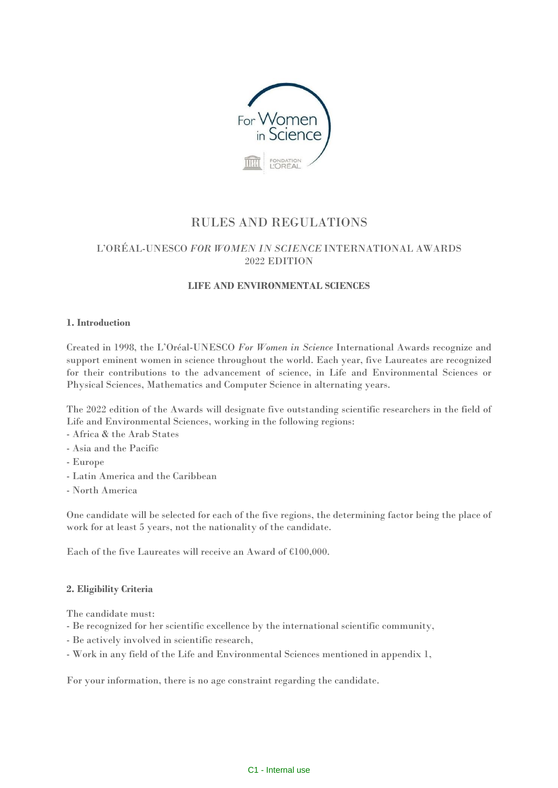

# RULES AND REGULATIONS

# L'ORÉAL-UNESCO *FOR WOMEN IN SCIENCE* INTERNATIONAL AWARDS 2022 EDITION

# **LIFE AND ENVIRONMENTAL SCIENCES**

# **1. Introduction**

Created in 1998, the L'Oréal-UNESCO *For Women in Science* International Awards recognize and support eminent women in science throughout the world. Each year, five Laureates are recognized for their contributions to the advancement of science, in Life and Environmental Sciences or Physical Sciences, Mathematics and Computer Science in alternating years.

The 2022 edition of the Awards will designate five outstanding scientific researchers in the field of Life and Environmental Sciences, working in the following regions:

- Africa & the Arab States
- Asia and the Pacific
- Europe
- Latin America and the Caribbean
- North America

One candidate will be selected for each of the five regions, the determining factor being the place of work for at least 5 years, not the nationality of the candidate.

Each of the five Laureates will receive an Award of €100,000.

#### **2. Eligibility Criteria**

The candidate must:

- Be recognized for her scientific excellence by the international scientific community,
- Be actively involved in scientific research,
- Work in any field of the Life and Environmental Sciences mentioned in appendix 1,

For your information, there is no age constraint regarding the candidate.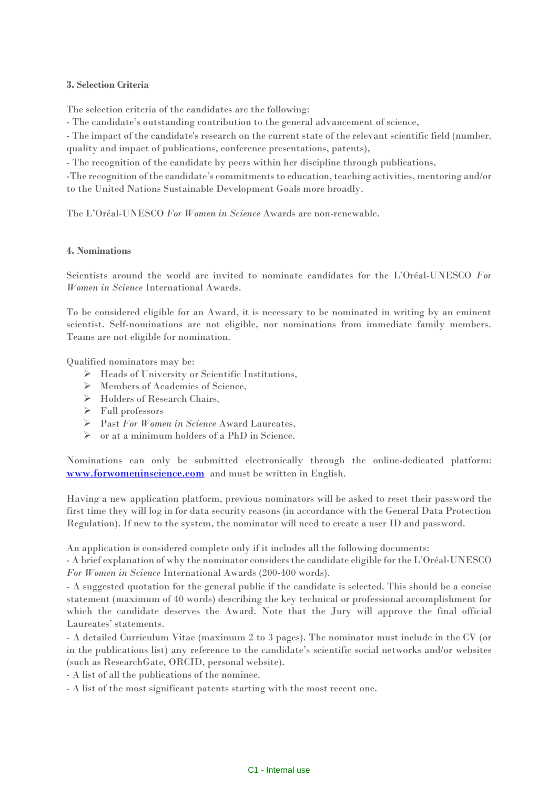# **3. Selection Criteria**

The selection criteria of the candidates are the following:

- The candidate's outstanding contribution to the general advancement of science,

- The impact of the candidate's research on the current state of the relevant scientific field (number, quality and impact of publications, conference presentations, patents),

- The recognition of the candidate by peers within her discipline through publications,

-The recognition of the candidate's commitments to education, teaching activities, mentoring and/or to the United Nations Sustainable Development Goals more broadly.

The L'Oréal-UNESCO *For Women in Science* Awards are non-renewable.

#### **4. Nominations**

Scientists around the world are invited to nominate candidates for the L'Oréal-UNESCO *For Women in Science* International Awards.

To be considered eligible for an Award, it is necessary to be nominated in writing by an eminent scientist. Self-nominations are not eligible, nor nominations from immediate family members. Teams are not eligible for nomination.

Qualified nominators may be:

- ➢ Heads of University or Scientific Institutions,
- ➢ Members of Academies of Science,
- ➢ Holders of Research Chairs,
- ➢ Full professors
- ➢ Past *For Women in Science* Award Laureates,
- ➢ or at a minimum holders of a PhD in Science.

Nominations can only be submitted electronically through the online-dedicated platform: [www.forwomeninscience.com](http://www.forwomeninscience.com/) and must be written in English.

Having a new application platform, previous nominators will be asked to reset their password the first time they will log in for data security reasons (in accordance with the General Data Protection Regulation). If new to the system, the nominator will need to create a user ID and password.

An application is considered complete only if it includes all the following documents:

- A brief explanation of why the nominator considers the candidate eligible for the L'Oréal-UNESCO *For Women in Science* International Awards (200-400 words).

- A suggested quotation for the general public if the candidate is selected. This should be a concise statement (maximum of 40 words) describing the key technical or professional accomplishment for which the candidate deserves the Award. Note that the Jury will approve the final official Laureates' statements.

- A detailed Curriculum Vitae (maximum 2 to 3 pages). The nominator must include in the CV (or in the publications list) any reference to the candidate's scientific social networks and/or websites (such as ResearchGate, ORCID, personal website).

- A list of all the publications of the nominee.

- A list of the most significant patents starting with the most recent one.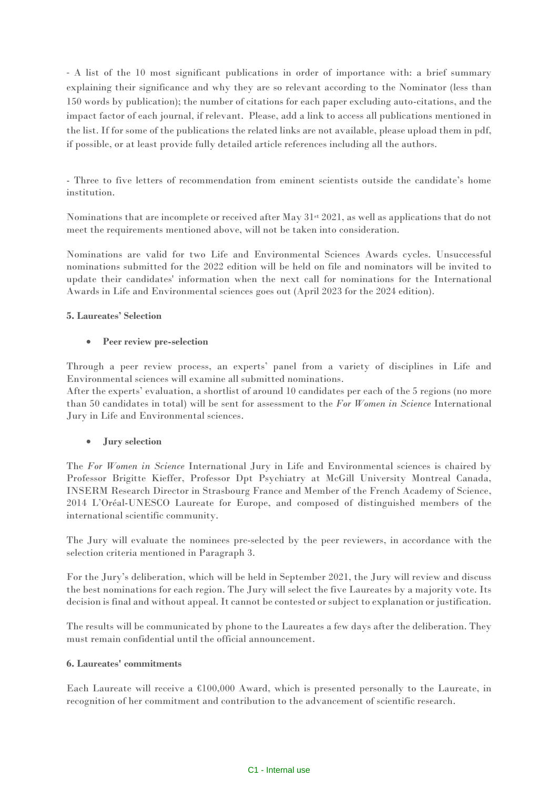- A list of the 10 most significant publications in order of importance with: a brief summary explaining their significance and why they are so relevant according to the Nominator (less than 150 words by publication); the number of citations for each paper excluding auto-citations, and the impact factor of each journal, if relevant. Please, add a link to access all publications mentioned in the list. If for some of the publications the related links are not available, please upload them in pdf, if possible, or at least provide fully detailed article references including all the authors.

- Three to five letters of recommendation from eminent scientists outside the candidate's home institution.

Nominations that are incomplete or received after May 31st 2021, as well as applications that do not meet the requirements mentioned above, will not be taken into consideration.

Nominations are valid for two Life and Environmental Sciences Awards cycles. Unsuccessful nominations submitted for the 2022 edition will be held on file and nominators will be invited to update their candidates' information when the next call for nominations for the International Awards in Life and Environmental sciences goes out (April 2023 for the 2024 edition).

# **5. Laureates' Selection**

#### • **Peer review pre-selection**

Through a peer review process, an experts' panel from a variety of disciplines in Life and Environmental sciences will examine all submitted nominations.

After the experts' evaluation, a shortlist of around 10 candidates per each of the 5 regions (no more than 50 candidates in total) will be sent for assessment to the *For Women in Science* International Jury in Life and Environmental sciences.

# • **Jury selection**

The *For Women in Science* International Jury in Life and Environmental sciences is chaired by Professor Brigitte Kieffer, Professor Dpt Psychiatry at McGill University Montreal Canada, INSERM Research Director in Strasbourg France and Member of the French Academy of Science, 2014 L'Oréal-UNESCO Laureate for Europe, and composed of distinguished members of the international scientific community.

The Jury will evaluate the nominees pre-selected by the peer reviewers, in accordance with the selection criteria mentioned in Paragraph 3.

For the Jury's deliberation, which will be held in September 2021, the Jury will review and discuss the best nominations for each region. The Jury will select the five Laureates by a majority vote. Its decision is final and without appeal. It cannot be contested or subject to explanation or justification.

The results will be communicated by phone to the Laureates a few days after the deliberation. They must remain confidential until the official announcement.

# **6. Laureates' commitments**

Each Laureate will receive a €100,000 Award, which is presented personally to the Laureate, in recognition of her commitment and contribution to the advancement of scientific research.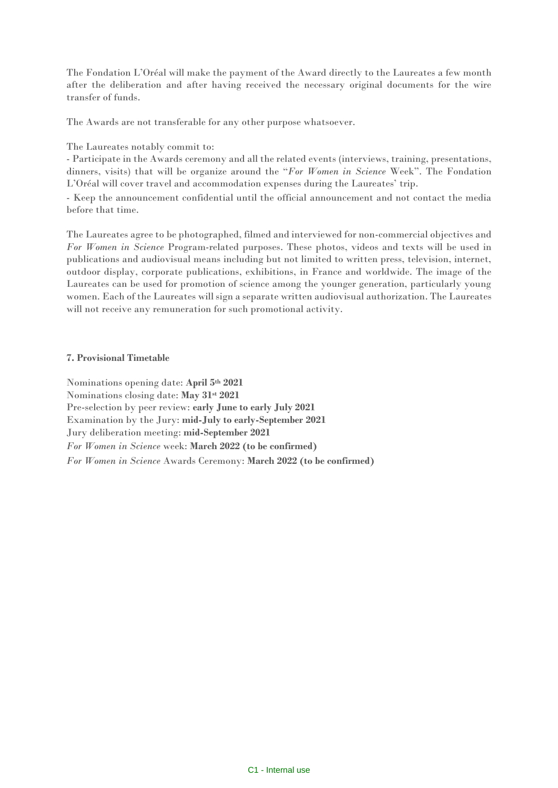The Fondation L'Oréal will make the payment of the Award directly to the Laureates a few month after the deliberation and after having received the necessary original documents for the wire transfer of funds.

The Awards are not transferable for any other purpose whatsoever.

The Laureates notably commit to:

- Participate in the Awards ceremony and all the related events (interviews, training, presentations, dinners, visits) that will be organize around the "*For Women in Science* Week". The Fondation L'Oréal will cover travel and accommodation expenses during the Laureates' trip.

- Keep the announcement confidential until the official announcement and not contact the media before that time.

The Laureates agree to be photographed, filmed and interviewed for non-commercial objectives and *For Women in Science* Program-related purposes. These photos, videos and texts will be used in publications and audiovisual means including but not limited to written press, television, internet, outdoor display, corporate publications, exhibitions, in France and worldwide. The image of the Laureates can be used for promotion of science among the younger generation, particularly young women. Each of the Laureates will sign a separate written audiovisual authorization. The Laureates will not receive any remuneration for such promotional activity.

#### **7. Provisional Timetable**

Nominations opening date: **April 5th 2021** Nominations closing date: **May 31st 2021** Pre-selection by peer review: **early June to early July 2021** Examination by the Jury: **mid-July to early-September 2021** Jury deliberation meeting: **mid-September 2021** *For Women in Science* week: **March 2022 (to be confirmed)** *For Women in Science* Awards Ceremony: **March 2022 (to be confirmed)**